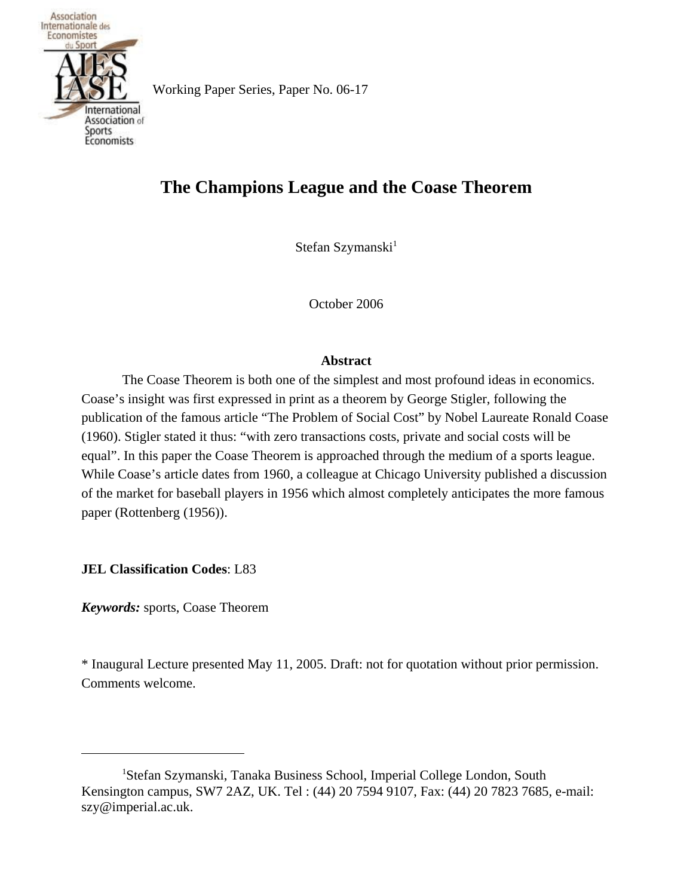

Working Paper Series, Paper No. 06-17

# **The Champions League and the Coase Theorem**

Stefan Szymanski $<sup>1</sup>$ </sup>

October 2006

# **Abstract**

The Coase Theorem is both one of the simplest and most profound ideas in economics. Coase's insight was first expressed in print as a theorem by George Stigler, following the publication of the famous article "The Problem of Social Cost" by Nobel Laureate Ronald Coase (1960). Stigler stated it thus: "with zero transactions costs, private and social costs will be equal". In this paper the Coase Theorem is approached through the medium of a sports league. While Coase's article dates from 1960, a colleague at Chicago University published a discussion of the market for baseball players in 1956 which almost completely anticipates the more famous paper (Rottenberg (1956)).

**JEL Classification Codes**: L83

*Keywords:* sports, Coase Theorem

\* Inaugural Lecture presented May 11, 2005. Draft: not for quotation without prior permission. Comments welcome.

<sup>&</sup>lt;sup>1</sup>Stefan Szymanski, Tanaka Business School, Imperial College London, South Kensington campus, SW7 2AZ, UK. Tel : (44) 20 7594 9107, Fax: (44) 20 7823 7685, e-mail: szy@imperial.ac.uk.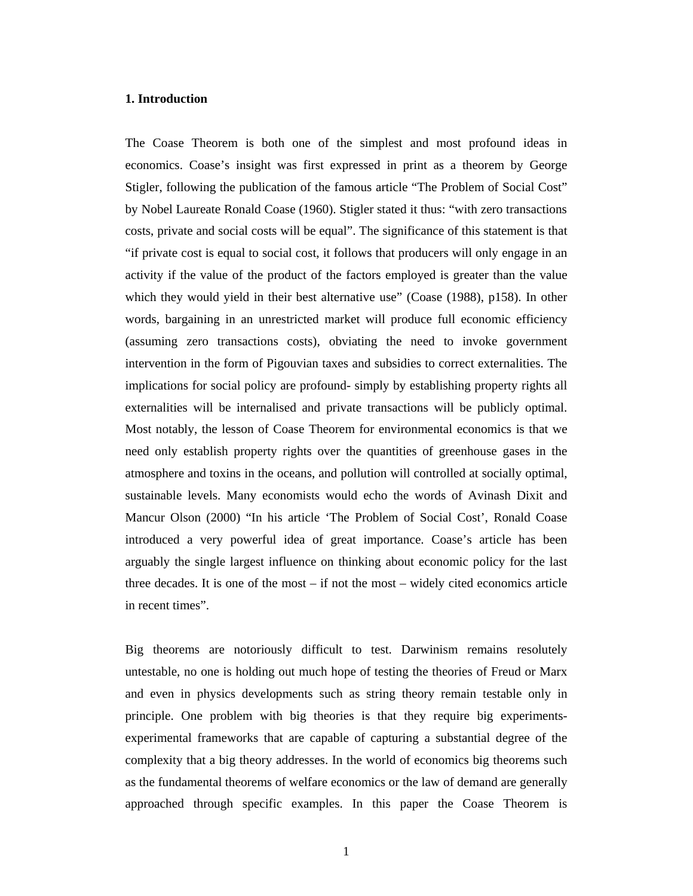# **1. Introduction**

The Coase Theorem is both one of the simplest and most profound ideas in economics. Coase's insight was first expressed in print as a theorem by George Stigler, following the publication of the famous article "The Problem of Social Cost" by Nobel Laureate Ronald Coase (1960). Stigler stated it thus: "with zero transactions costs, private and social costs will be equal". The significance of this statement is that "if private cost is equal to social cost, it follows that producers will only engage in an activity if the value of the product of the factors employed is greater than the value which they would yield in their best alternative use" (Coase (1988), p158). In other words, bargaining in an unrestricted market will produce full economic efficiency (assuming zero transactions costs), obviating the need to invoke government intervention in the form of Pigouvian taxes and subsidies to correct externalities. The implications for social policy are profound- simply by establishing property rights all externalities will be internalised and private transactions will be publicly optimal. Most notably, the lesson of Coase Theorem for environmental economics is that we need only establish property rights over the quantities of greenhouse gases in the atmosphere and toxins in the oceans, and pollution will controlled at socially optimal, sustainable levels. Many economists would echo the words of Avinash Dixit and Mancur Olson (2000) "In his article 'The Problem of Social Cost', Ronald Coase introduced a very powerful idea of great importance. Coase's article has been arguably the single largest influence on thinking about economic policy for the last three decades. It is one of the most – if not the most – widely cited economics article in recent times".

Big theorems are notoriously difficult to test. Darwinism remains resolutely untestable, no one is holding out much hope of testing the theories of Freud or Marx and even in physics developments such as string theory remain testable only in principle. One problem with big theories is that they require big experimentsexperimental frameworks that are capable of capturing a substantial degree of the complexity that a big theory addresses. In the world of economics big theorems such as the fundamental theorems of welfare economics or the law of demand are generally approached through specific examples. In this paper the Coase Theorem is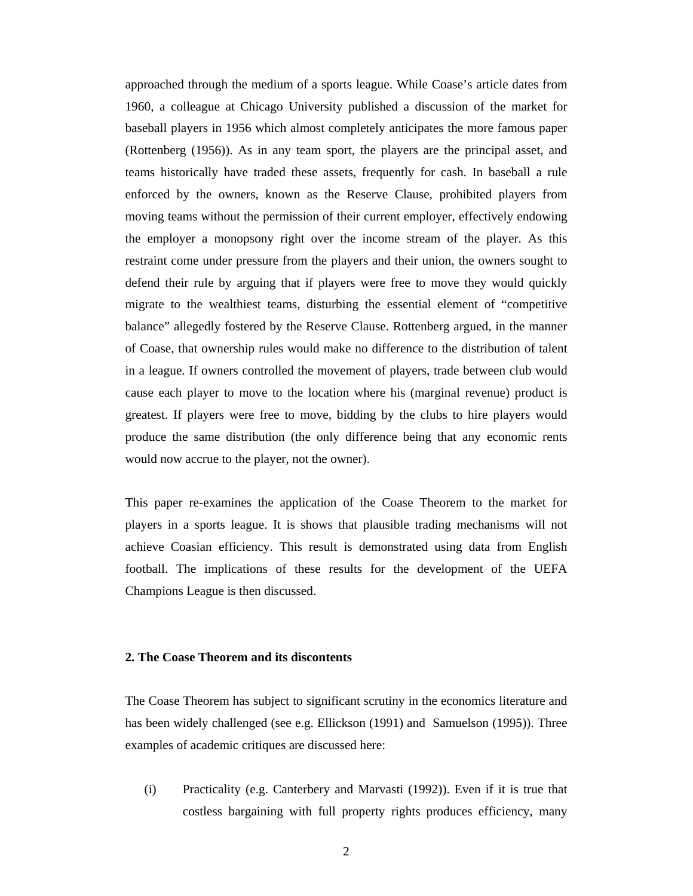approached through the medium of a sports league. While Coase's article dates from 1960, a colleague at Chicago University published a discussion of the market for baseball players in 1956 which almost completely anticipates the more famous paper (Rottenberg (1956)). As in any team sport, the players are the principal asset, and teams historically have traded these assets, frequently for cash. In baseball a rule enforced by the owners, known as the Reserve Clause, prohibited players from moving teams without the permission of their current employer, effectively endowing the employer a monopsony right over the income stream of the player. As this restraint come under pressure from the players and their union, the owners sought to defend their rule by arguing that if players were free to move they would quickly migrate to the wealthiest teams, disturbing the essential element of "competitive balance" allegedly fostered by the Reserve Clause. Rottenberg argued, in the manner of Coase, that ownership rules would make no difference to the distribution of talent in a league. If owners controlled the movement of players, trade between club would cause each player to move to the location where his (marginal revenue) product is greatest. If players were free to move, bidding by the clubs to hire players would produce the same distribution (the only difference being that any economic rents would now accrue to the player, not the owner).

This paper re-examines the application of the Coase Theorem to the market for players in a sports league. It is shows that plausible trading mechanisms will not achieve Coasian efficiency. This result is demonstrated using data from English football. The implications of these results for the development of the UEFA Champions League is then discussed.

#### **2. The Coase Theorem and its discontents**

The Coase Theorem has subject to significant scrutiny in the economics literature and has been widely challenged (see e.g. Ellickson (1991) and Samuelson (1995)). Three examples of academic critiques are discussed here:

(i) Practicality (e.g. Canterbery and Marvasti (1992)). Even if it is true that costless bargaining with full property rights produces efficiency, many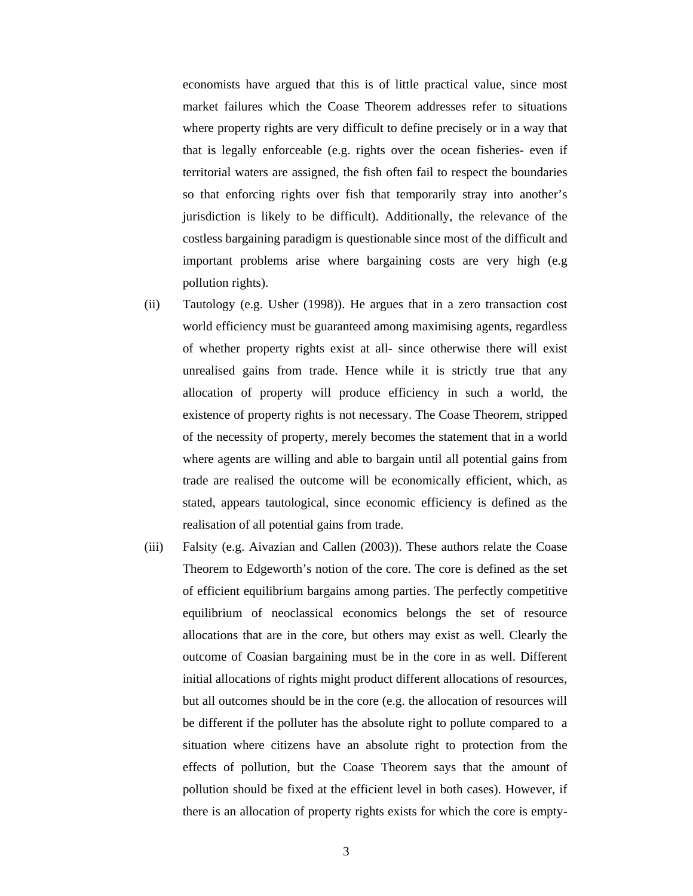economists have argued that this is of little practical value, since most market failures which the Coase Theorem addresses refer to situations where property rights are very difficult to define precisely or in a way that that is legally enforceable (e.g. rights over the ocean fisheries- even if territorial waters are assigned, the fish often fail to respect the boundaries so that enforcing rights over fish that temporarily stray into another's jurisdiction is likely to be difficult). Additionally, the relevance of the costless bargaining paradigm is questionable since most of the difficult and important problems arise where bargaining costs are very high (e.g pollution rights).

- (ii) Tautology (e.g. Usher (1998)). He argues that in a zero transaction cost world efficiency must be guaranteed among maximising agents, regardless of whether property rights exist at all- since otherwise there will exist unrealised gains from trade. Hence while it is strictly true that any allocation of property will produce efficiency in such a world, the existence of property rights is not necessary. The Coase Theorem, stripped of the necessity of property, merely becomes the statement that in a world where agents are willing and able to bargain until all potential gains from trade are realised the outcome will be economically efficient, which, as stated, appears tautological, since economic efficiency is defined as the realisation of all potential gains from trade.
- (iii) Falsity (e.g. Aivazian and Callen (2003)). These authors relate the Coase Theorem to Edgeworth's notion of the core. The core is defined as the set of efficient equilibrium bargains among parties. The perfectly competitive equilibrium of neoclassical economics belongs the set of resource allocations that are in the core, but others may exist as well. Clearly the outcome of Coasian bargaining must be in the core in as well. Different initial allocations of rights might product different allocations of resources, but all outcomes should be in the core (e.g. the allocation of resources will be different if the polluter has the absolute right to pollute compared to a situation where citizens have an absolute right to protection from the effects of pollution, but the Coase Theorem says that the amount of pollution should be fixed at the efficient level in both cases). However, if there is an allocation of property rights exists for which the core is empty-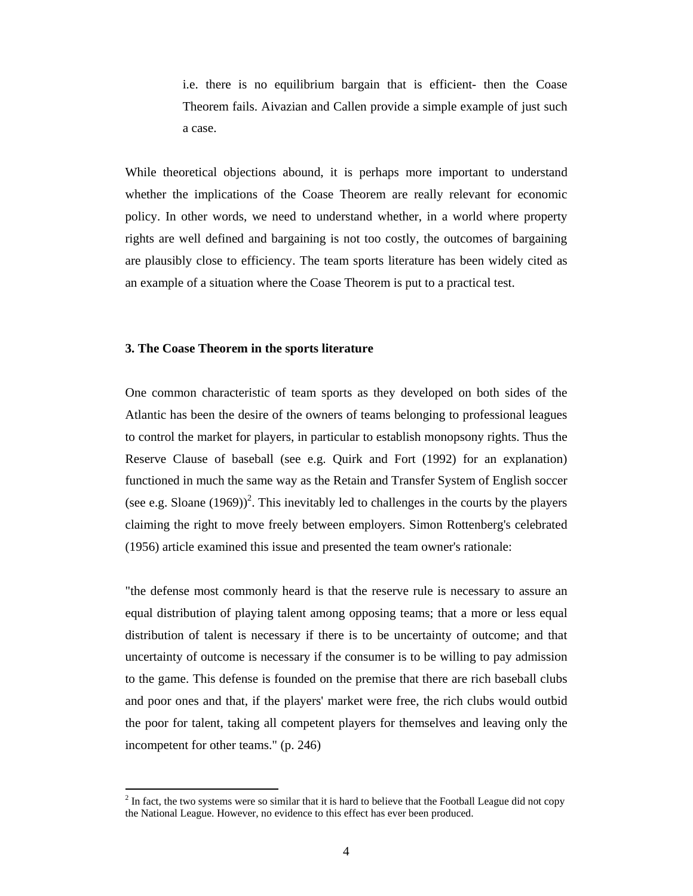i.e. there is no equilibrium bargain that is efficient- then the Coase Theorem fails. Aivazian and Callen provide a simple example of just such a case.

While theoretical objections abound, it is perhaps more important to understand whether the implications of the Coase Theorem are really relevant for economic policy. In other words, we need to understand whether, in a world where property rights are well defined and bargaining is not too costly, the outcomes of bargaining are plausibly close to efficiency. The team sports literature has been widely cited as an example of a situation where the Coase Theorem is put to a practical test.

#### **3. The Coase Theorem in the sports literature**

 $\overline{a}$ 

One common characteristic of team sports as they developed on both sides of the Atlantic has been the desire of the owners of teams belonging to professional leagues to control the market for players, in particular to establish monopsony rights. Thus the Reserve Clause of baseball (see e.g. Quirk and Fort (1992) for an explanation) functioned in much the same way as the Retain and Transfer System of English soccer (see e.g. Sloane  $(1969)^2$ . This inevitably led to challenges in the courts by the players claiming the right to move freely between employers. Simon Rottenberg's celebrated (1956) article examined this issue and presented the team owner's rationale:

"the defense most commonly heard is that the reserve rule is necessary to assure an equal distribution of playing talent among opposing teams; that a more or less equal distribution of talent is necessary if there is to be uncertainty of outcome; and that uncertainty of outcome is necessary if the consumer is to be willing to pay admission to the game. This defense is founded on the premise that there are rich baseball clubs and poor ones and that, if the players' market were free, the rich clubs would outbid the poor for talent, taking all competent players for themselves and leaving only the incompetent for other teams." (p. 246)

 $2<sup>2</sup>$  In fact, the two systems were so similar that it is hard to believe that the Football League did not copy the National League. However, no evidence to this effect has ever been produced.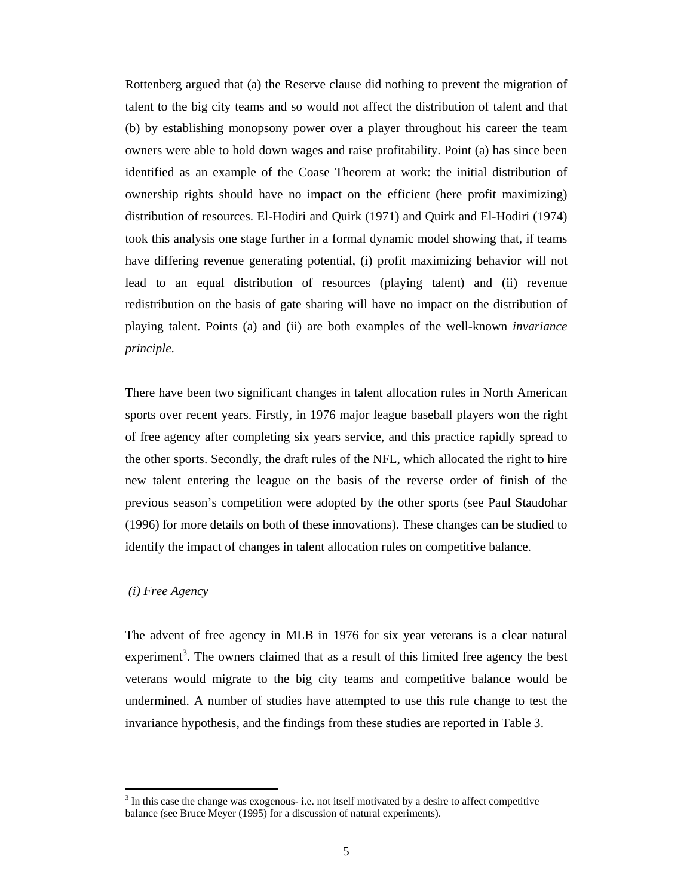Rottenberg argued that (a) the Reserve clause did nothing to prevent the migration of talent to the big city teams and so would not affect the distribution of talent and that (b) by establishing monopsony power over a player throughout his career the team owners were able to hold down wages and raise profitability. Point (a) has since been identified as an example of the Coase Theorem at work: the initial distribution of ownership rights should have no impact on the efficient (here profit maximizing) distribution of resources. El-Hodiri and Quirk (1971) and Quirk and El-Hodiri (1974) took this analysis one stage further in a formal dynamic model showing that, if teams have differing revenue generating potential, (i) profit maximizing behavior will not lead to an equal distribution of resources (playing talent) and (ii) revenue redistribution on the basis of gate sharing will have no impact on the distribution of playing talent. Points (a) and (ii) are both examples of the well-known *invariance principle*.

There have been two significant changes in talent allocation rules in North American sports over recent years. Firstly, in 1976 major league baseball players won the right of free agency after completing six years service, and this practice rapidly spread to the other sports. Secondly, the draft rules of the NFL, which allocated the right to hire new talent entering the league on the basis of the reverse order of finish of the previous season's competition were adopted by the other sports (see Paul Staudohar (1996) for more details on both of these innovations). These changes can be studied to identify the impact of changes in talent allocation rules on competitive balance.

### *(i) Free Agency*

 $\overline{a}$ 

The advent of free agency in MLB in 1976 for six year veterans is a clear natural experiment<sup>3</sup>. The owners claimed that as a result of this limited free agency the best veterans would migrate to the big city teams and competitive balance would be undermined. A number of studies have attempted to use this rule change to test the invariance hypothesis, and the findings from these studies are reported in Table 3.

 $3$  In this case the change was exogenous- i.e. not itself motivated by a desire to affect competitive balance (see Bruce Meyer (1995) for a discussion of natural experiments).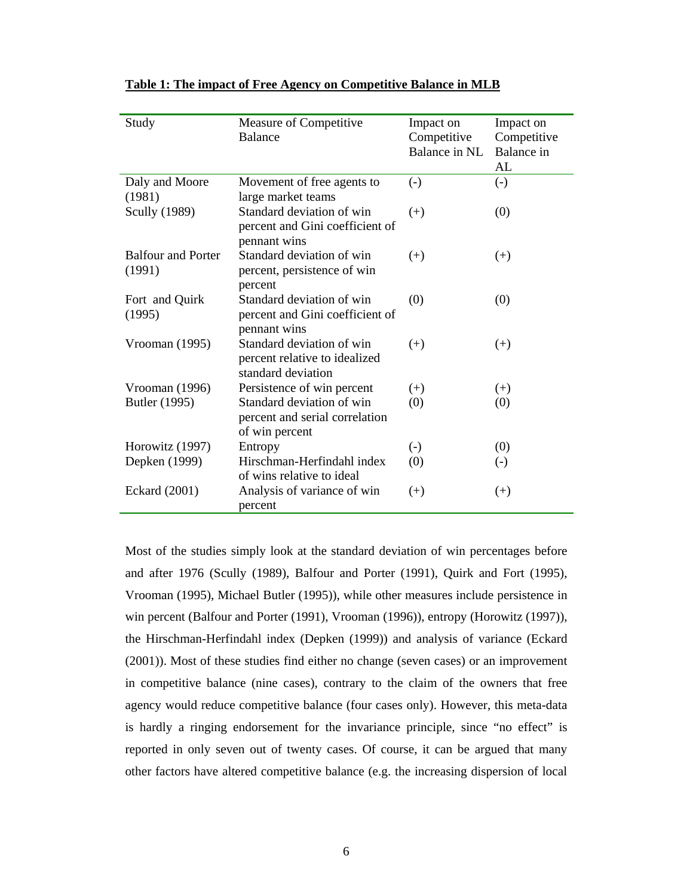| Study                               | Measure of Competitive<br><b>Balance</b>                                                         | Impact on<br>Competitive<br>Balance in NL | Impact on<br>Competitive<br>Balance in<br>AL |
|-------------------------------------|--------------------------------------------------------------------------------------------------|-------------------------------------------|----------------------------------------------|
| Daly and Moore                      | Movement of free agents to                                                                       | $\left( -\right)$                         | $\left( -\right)$                            |
| (1981)                              | large market teams                                                                               |                                           |                                              |
| <b>Scully (1989)</b>                | Standard deviation of win<br>percent and Gini coefficient of<br>pennant wins                     | $(+)$                                     | (0)                                          |
| <b>Balfour and Porter</b><br>(1991) | Standard deviation of win<br>percent, persistence of win                                         | $(+)$                                     | $^{(+)}$                                     |
| Fort and Quirk<br>(1995)            | percent<br>Standard deviation of win<br>percent and Gini coefficient of                          | (0)                                       | (0)                                          |
| Vrooman (1995)                      | pennant wins<br>Standard deviation of win<br>percent relative to idealized<br>standard deviation | $(+)$                                     | $^{(+)}$                                     |
| Vrooman (1996)                      | Persistence of win percent                                                                       | $^{(+)}$                                  | $(+)$                                        |
| Butler (1995)                       | Standard deviation of win<br>percent and serial correlation<br>of win percent                    | (0)                                       | (0)                                          |
| Horowitz (1997)                     | Entropy                                                                                          | $\left( -\right)$                         | (0)                                          |
| Depken (1999)                       | Hirschman-Herfindahl index<br>of wins relative to ideal                                          | (0)                                       | $\left( -\right)$                            |
| Eckard (2001)                       | Analysis of variance of win<br>percent                                                           | $^{(+)}$                                  | $(+)$                                        |

**Table 1: The impact of Free Agency on Competitive Balance in MLB**

Most of the studies simply look at the standard deviation of win percentages before and after 1976 (Scully (1989), Balfour and Porter (1991), Quirk and Fort (1995), Vrooman (1995), Michael Butler (1995)), while other measures include persistence in win percent (Balfour and Porter (1991), Vrooman (1996)), entropy (Horowitz (1997)), the Hirschman-Herfindahl index (Depken (1999)) and analysis of variance (Eckard (2001)). Most of these studies find either no change (seven cases) or an improvement in competitive balance (nine cases), contrary to the claim of the owners that free agency would reduce competitive balance (four cases only). However, this meta-data is hardly a ringing endorsement for the invariance principle, since "no effect" is reported in only seven out of twenty cases. Of course, it can be argued that many other factors have altered competitive balance (e.g. the increasing dispersion of local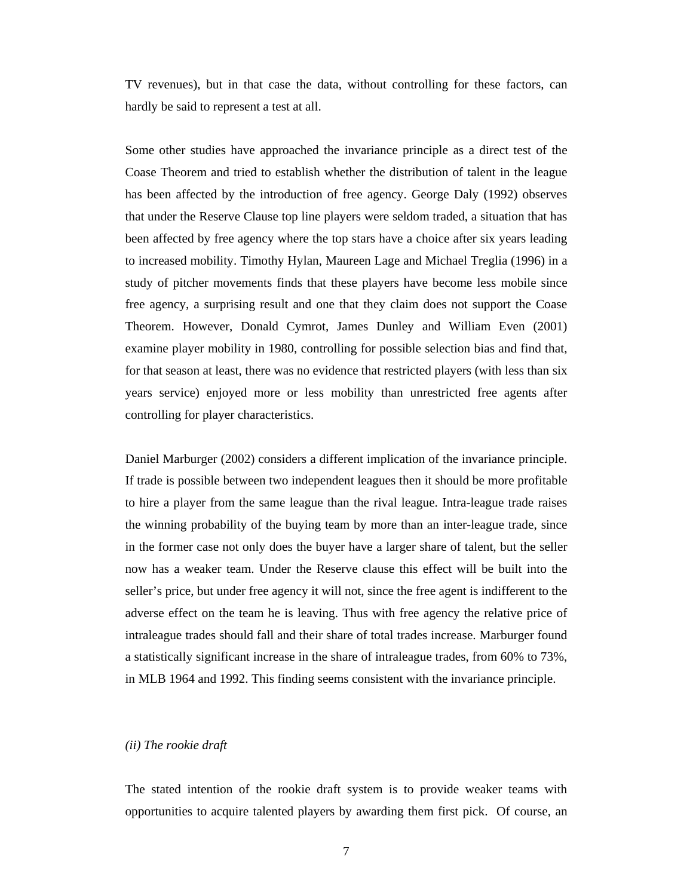TV revenues), but in that case the data, without controlling for these factors, can hardly be said to represent a test at all.

Some other studies have approached the invariance principle as a direct test of the Coase Theorem and tried to establish whether the distribution of talent in the league has been affected by the introduction of free agency. George Daly (1992) observes that under the Reserve Clause top line players were seldom traded, a situation that has been affected by free agency where the top stars have a choice after six years leading to increased mobility. Timothy Hylan, Maureen Lage and Michael Treglia (1996) in a study of pitcher movements finds that these players have become less mobile since free agency, a surprising result and one that they claim does not support the Coase Theorem. However, Donald Cymrot, James Dunley and William Even (2001) examine player mobility in 1980, controlling for possible selection bias and find that, for that season at least, there was no evidence that restricted players (with less than six years service) enjoyed more or less mobility than unrestricted free agents after controlling for player characteristics.

Daniel Marburger (2002) considers a different implication of the invariance principle. If trade is possible between two independent leagues then it should be more profitable to hire a player from the same league than the rival league. Intra-league trade raises the winning probability of the buying team by more than an inter-league trade, since in the former case not only does the buyer have a larger share of talent, but the seller now has a weaker team. Under the Reserve clause this effect will be built into the seller's price, but under free agency it will not, since the free agent is indifferent to the adverse effect on the team he is leaving. Thus with free agency the relative price of intraleague trades should fall and their share of total trades increase. Marburger found a statistically significant increase in the share of intraleague trades, from 60% to 73%, in MLB 1964 and 1992. This finding seems consistent with the invariance principle.

# *(ii) The rookie draft*

The stated intention of the rookie draft system is to provide weaker teams with opportunities to acquire talented players by awarding them first pick. Of course, an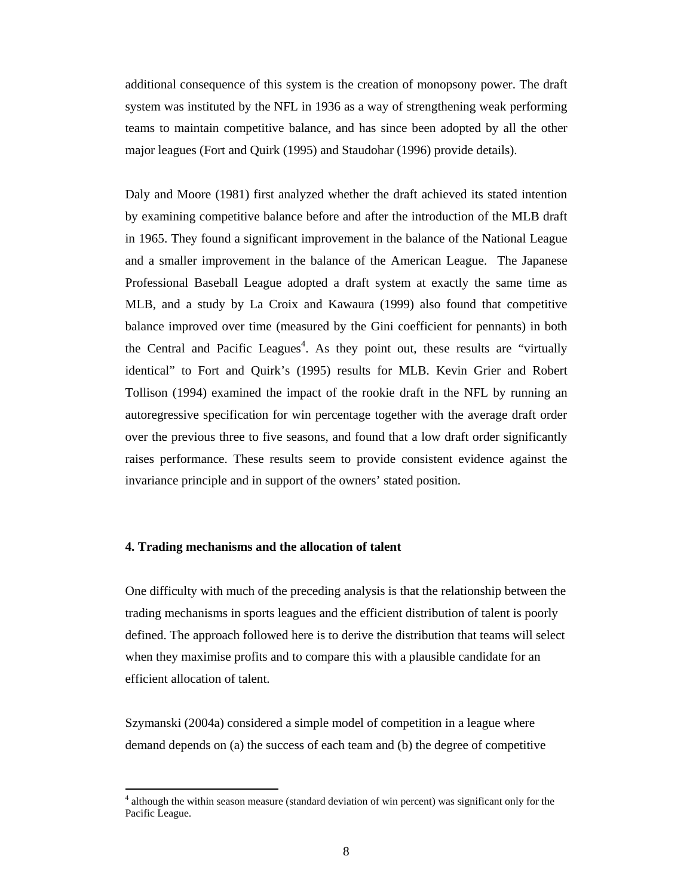additional consequence of this system is the creation of monopsony power. The draft system was instituted by the NFL in 1936 as a way of strengthening weak performing teams to maintain competitive balance, and has since been adopted by all the other major leagues (Fort and Quirk (1995) and Staudohar (1996) provide details).

Daly and Moore (1981) first analyzed whether the draft achieved its stated intention by examining competitive balance before and after the introduction of the MLB draft in 1965. They found a significant improvement in the balance of the National League and a smaller improvement in the balance of the American League. The Japanese Professional Baseball League adopted a draft system at exactly the same time as MLB, and a study by La Croix and Kawaura (1999) also found that competitive balance improved over time (measured by the Gini coefficient for pennants) in both the Central and Pacific Leagues<sup>4</sup>. As they point out, these results are "virtually identical" to Fort and Quirk's (1995) results for MLB. Kevin Grier and Robert Tollison (1994) examined the impact of the rookie draft in the NFL by running an autoregressive specification for win percentage together with the average draft order over the previous three to five seasons, and found that a low draft order significantly raises performance. These results seem to provide consistent evidence against the invariance principle and in support of the owners' stated position.

# **4. Trading mechanisms and the allocation of talent**

 $\overline{a}$ 

One difficulty with much of the preceding analysis is that the relationship between the trading mechanisms in sports leagues and the efficient distribution of talent is poorly defined. The approach followed here is to derive the distribution that teams will select when they maximise profits and to compare this with a plausible candidate for an efficient allocation of talent.

Szymanski (2004a) considered a simple model of competition in a league where demand depends on (a) the success of each team and (b) the degree of competitive

<sup>&</sup>lt;sup>4</sup> although the within season measure (standard deviation of win percent) was significant only for the Pacific League.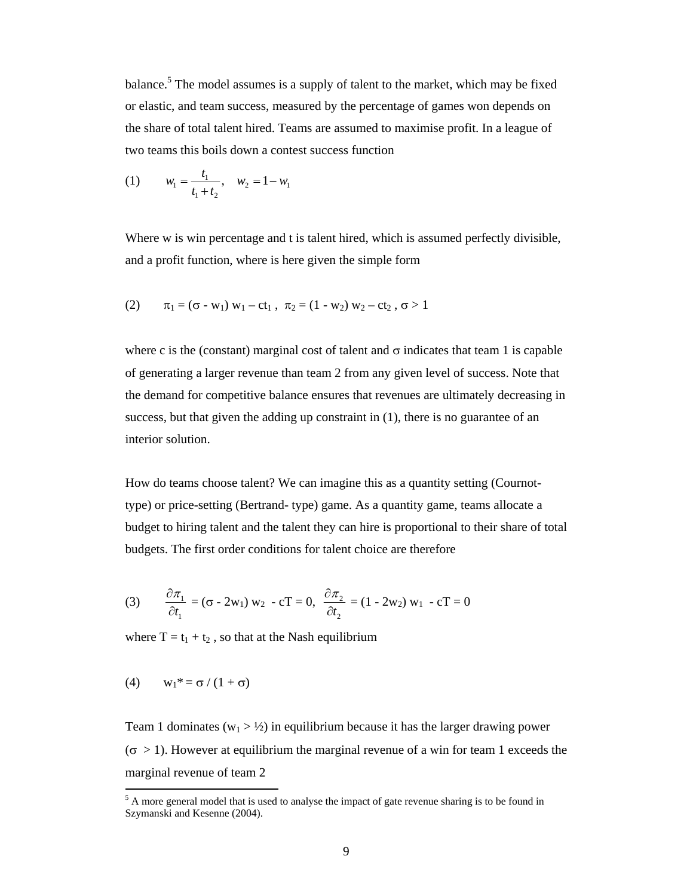balance.<sup>5</sup> The model assumes is a supply of talent to the market, which may be fixed or elastic, and team success, measured by the percentage of games won depends on the share of total talent hired. Teams are assumed to maximise profit. In a league of two teams this boils down a contest success function

(1) 
$$
w_1 = \frac{t_1}{t_1 + t_2}, \quad w_2 = 1 - w_1
$$

Where w is win percentage and t is talent hired, which is assumed perfectly divisible, and a profit function, where is here given the simple form

(2) 
$$
\pi_1 = (\sigma - w_1) w_1 - ct_1
$$
,  $\pi_2 = (1 - w_2) w_2 - ct_2$ ,  $\sigma > 1$ 

where c is the (constant) marginal cost of talent and  $\sigma$  indicates that team 1 is capable of generating a larger revenue than team 2 from any given level of success. Note that the demand for competitive balance ensures that revenues are ultimately decreasing in success, but that given the adding up constraint in (1), there is no guarantee of an interior solution.

How do teams choose talent? We can imagine this as a quantity setting (Cournottype) or price-setting (Bertrand- type) game. As a quantity game, teams allocate a budget to hiring talent and the talent they can hire is proportional to their share of total budgets. The first order conditions for talent choice are therefore

(3) 
$$
\frac{\partial \pi_1}{\partial t_1} = (\sigma - 2w_1) w_2 - cT = 0, \frac{\partial \pi_2}{\partial t_2} = (1 - 2w_2) w_1 - cT = 0
$$

where  $T = t_1 + t_2$ , so that at the Nash equilibrium

(4) 
$$
w_1^* = \sigma / (1 + \sigma)
$$

 $\overline{a}$ 

Team 1 dominates ( $w_1 > \frac{1}{2}$ ) in equilibrium because it has the larger drawing power  $(\sigma > 1)$ . However at equilibrium the marginal revenue of a win for team 1 exceeds the marginal revenue of team 2

 $<sup>5</sup>$  A more general model that is used to analyse the impact of gate revenue sharing is to be found in</sup> Szymanski and Kesenne (2004).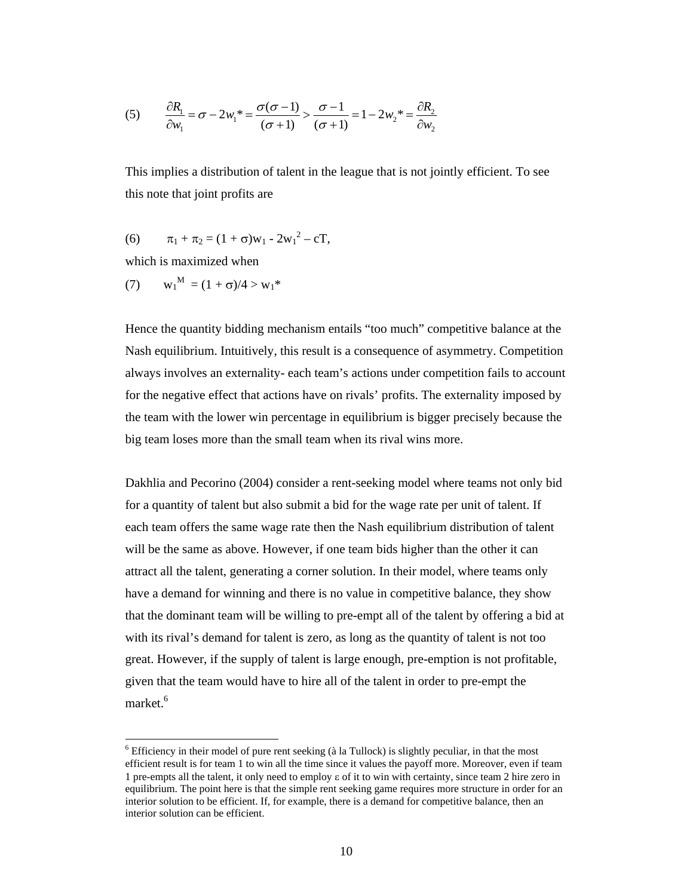$$
(5) \qquad \frac{\partial R_1}{\partial w_1} = \sigma - 2w_1^* = \frac{\sigma(\sigma - 1)}{(\sigma + 1)} > \frac{\sigma - 1}{(\sigma + 1)} = 1 - 2w_2^* = \frac{\partial R_2}{\partial w_2}
$$

This implies a distribution of talent in the league that is not jointly efficient. To see this note that joint profits are

(6) 
$$
\pi_1 + \pi_2 = (1 + \sigma)w_1 - 2w_1^2 - cT
$$
,

which is maximized when

 $\overline{a}$ 

(7) 
$$
w_1^M = (1 + \sigma)/4 > w_1^*
$$

Hence the quantity bidding mechanism entails "too much" competitive balance at the Nash equilibrium. Intuitively, this result is a consequence of asymmetry. Competition always involves an externality- each team's actions under competition fails to account for the negative effect that actions have on rivals' profits. The externality imposed by the team with the lower win percentage in equilibrium is bigger precisely because the big team loses more than the small team when its rival wins more.

Dakhlia and Pecorino (2004) consider a rent-seeking model where teams not only bid for a quantity of talent but also submit a bid for the wage rate per unit of talent. If each team offers the same wage rate then the Nash equilibrium distribution of talent will be the same as above. However, if one team bids higher than the other it can attract all the talent, generating a corner solution. In their model, where teams only have a demand for winning and there is no value in competitive balance, they show that the dominant team will be willing to pre-empt all of the talent by offering a bid at with its rival's demand for talent is zero, as long as the quantity of talent is not too great. However, if the supply of talent is large enough, pre-emption is not profitable, given that the team would have to hire all of the talent in order to pre-empt the market. $^6$ 

 $6$  Efficiency in their model of pure rent seeking (à la Tullock) is slightly peculiar, in that the most efficient result is for team 1 to win all the time since it values the payoff more. Moreover, even if team 1 pre-empts all the talent, it only need to employ ε of it to win with certainty, since team 2 hire zero in equilibrium. The point here is that the simple rent seeking game requires more structure in order for an interior solution to be efficient. If, for example, there is a demand for competitive balance, then an interior solution can be efficient.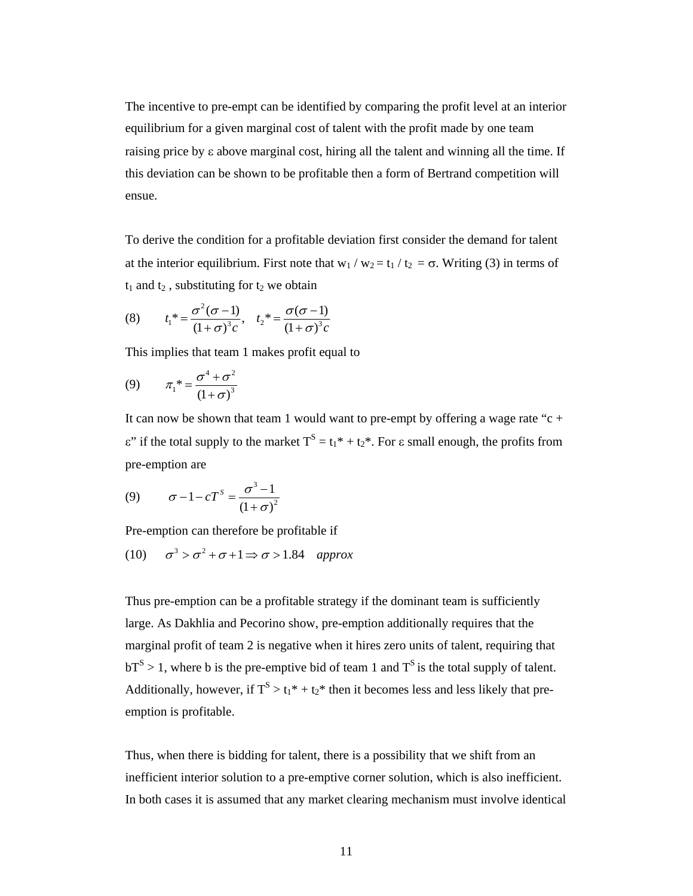The incentive to pre-empt can be identified by comparing the profit level at an interior equilibrium for a given marginal cost of talent with the profit made by one team raising price by ε above marginal cost, hiring all the talent and winning all the time. If this deviation can be shown to be profitable then a form of Bertrand competition will ensue.

To derive the condition for a profitable deviation first consider the demand for talent at the interior equilibrium. First note that  $w_1 / w_2 = t_1 / t_2 = \sigma$ . Writing (3) in terms of  $t_1$  and  $t_2$ , substituting for  $t_2$  we obtain

(8) 
$$
t_1^* = \frac{\sigma^2(\sigma - 1)}{(1 + \sigma)^3 c}, \quad t_2^* = \frac{\sigma(\sigma - 1)}{(1 + \sigma)^3 c}
$$

This implies that team 1 makes profit equal to

(9) 
$$
\pi_1^* = \frac{\sigma^4 + \sigma^2}{(1 + \sigma)^3}
$$

It can now be shown that team 1 would want to pre-empt by offering a wage rate " $c +$ ε" if the total supply to the market  $T^S = t_1^* + t_2^*$ . For ε small enough, the profits from pre-emption are

(9) 
$$
\sigma - 1 - cT^{s} = \frac{\sigma^{3} - 1}{(1 + \sigma)^{2}}
$$

Pre-emption can therefore be profitable if

(10) 
$$
\sigma^3 > \sigma^2 + \sigma + 1 \Rightarrow \sigma > 1.84
$$
 *approx*

Thus pre-emption can be a profitable strategy if the dominant team is sufficiently large. As Dakhlia and Pecorino show, pre-emption additionally requires that the marginal profit of team 2 is negative when it hires zero units of talent, requiring that  $bT<sup>S</sup> > 1$ , where b is the pre-emptive bid of team 1 and  $T<sup>S</sup>$  is the total supply of talent. Additionally, however, if  $T^{S} > t_1^* + t_2^*$  then it becomes less and less likely that preemption is profitable.

Thus, when there is bidding for talent, there is a possibility that we shift from an inefficient interior solution to a pre-emptive corner solution, which is also inefficient. In both cases it is assumed that any market clearing mechanism must involve identical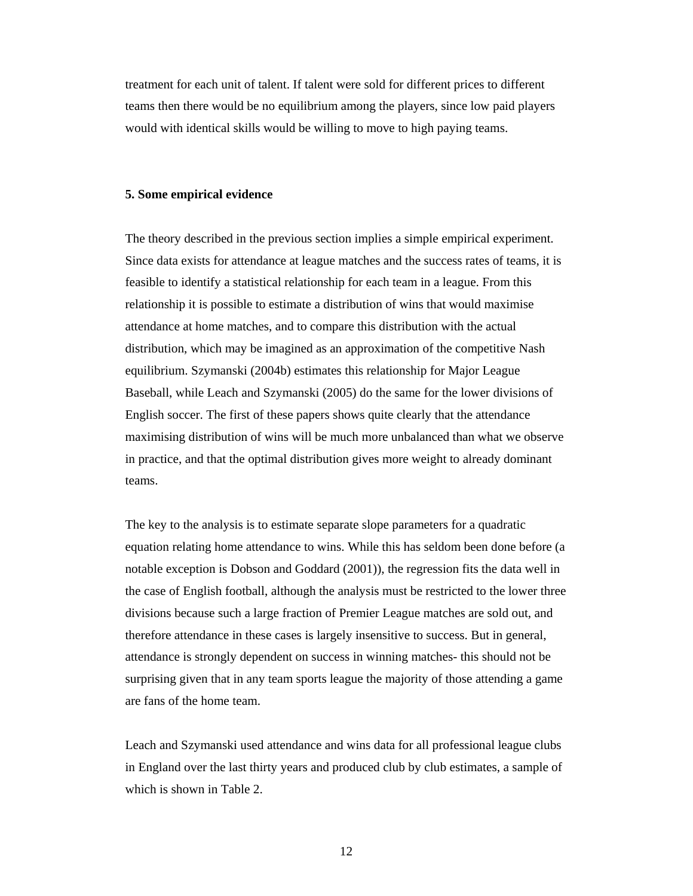treatment for each unit of talent. If talent were sold for different prices to different teams then there would be no equilibrium among the players, since low paid players would with identical skills would be willing to move to high paying teams.

#### **5. Some empirical evidence**

The theory described in the previous section implies a simple empirical experiment. Since data exists for attendance at league matches and the success rates of teams, it is feasible to identify a statistical relationship for each team in a league. From this relationship it is possible to estimate a distribution of wins that would maximise attendance at home matches, and to compare this distribution with the actual distribution, which may be imagined as an approximation of the competitive Nash equilibrium. Szymanski (2004b) estimates this relationship for Major League Baseball, while Leach and Szymanski (2005) do the same for the lower divisions of English soccer. The first of these papers shows quite clearly that the attendance maximising distribution of wins will be much more unbalanced than what we observe in practice, and that the optimal distribution gives more weight to already dominant teams.

The key to the analysis is to estimate separate slope parameters for a quadratic equation relating home attendance to wins. While this has seldom been done before (a notable exception is Dobson and Goddard (2001)), the regression fits the data well in the case of English football, although the analysis must be restricted to the lower three divisions because such a large fraction of Premier League matches are sold out, and therefore attendance in these cases is largely insensitive to success. But in general, attendance is strongly dependent on success in winning matches- this should not be surprising given that in any team sports league the majority of those attending a game are fans of the home team.

Leach and Szymanski used attendance and wins data for all professional league clubs in England over the last thirty years and produced club by club estimates, a sample of which is shown in Table 2.

12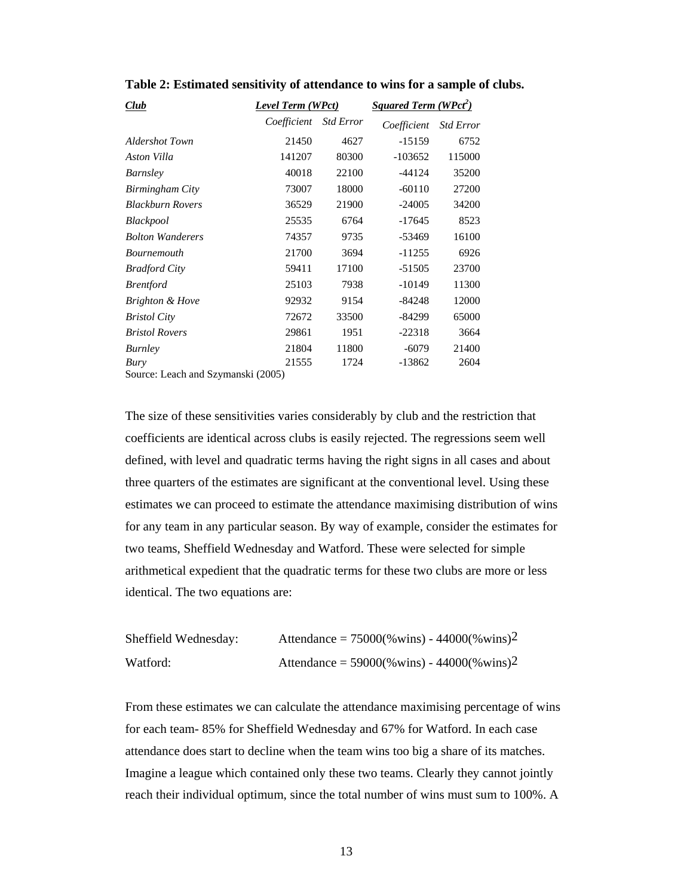| Club                           | Level Term (WPct) |                  | Squared Term (WPct <sup>2</sup> ) |                  |
|--------------------------------|-------------------|------------------|-----------------------------------|------------------|
|                                | Coefficient       | <i>Std Error</i> | Coefficient                       | <b>Std Error</b> |
| Aldershot Town                 | 21450             | 4627             | $-15159$                          | 6752             |
| Aston Villa                    | 141207            | 80300            | $-103652$                         | 115000           |
| Barnsley                       | 40018             | 22100            | $-44124$                          | 35200            |
| Birmingham City                | 73007             | 18000            | $-60110$                          | 27200            |
| <b>Blackburn Rovers</b>        | 36529             | 21900            | $-24005$                          | 34200            |
| Blackpool                      | 25535             | 6764             | $-17645$                          | 8523             |
| <b>Bolton Wanderers</b>        | 74357             | 9735             | $-53469$                          | 16100            |
| Bournemouth                    | 21700             | 3694             | $-11255$                          | 6926             |
| <b>Bradford City</b>           | 59411             | 17100            | $-51505$                          | 23700            |
| <i>Brentford</i>               | 25103             | 7938             | $-10149$                          | 11300            |
| Brighton & Hove                | 92932             | 9154             | $-84248$                          | 12000            |
| <b>Bristol City</b>            | 72672             | 33500            | $-84299$                          | 65000            |
| <b>Bristol Rovers</b>          | 29861             | 1951             | $-22318$                          | 3664             |
| Burnley                        | 21804             | 11800            | $-6079$                           | 21400            |
| Bury<br>$\sim$<br>$\mathbf{r}$ | 21555<br>1.7000   | 1724             | $-13862$                          | 2604             |

**Table 2: Estimated sensitivity of attendance to wins for a sample of clubs.** 

Source: Leach and Szymanski (2005)

The size of these sensitivities varies considerably by club and the restriction that coefficients are identical across clubs is easily rejected. The regressions seem well defined, with level and quadratic terms having the right signs in all cases and about three quarters of the estimates are significant at the conventional level. Using these estimates we can proceed to estimate the attendance maximising distribution of wins for any team in any particular season. By way of example, consider the estimates for two teams, Sheffield Wednesday and Watford. These were selected for simple arithmetical expedient that the quadratic terms for these two clubs are more or less identical. The two equations are:

| Sheffield Wednesday: | Attendance = $75000$ (% wins) - $44000$ (% wins) <sup>2</sup> |
|----------------------|---------------------------------------------------------------|
| Watford:             | Attendance = $59000$ (% wins) - $44000$ (% wins) <sup>2</sup> |

From these estimates we can calculate the attendance maximising percentage of wins for each team- 85% for Sheffield Wednesday and 67% for Watford. In each case attendance does start to decline when the team wins too big a share of its matches. Imagine a league which contained only these two teams. Clearly they cannot jointly reach their individual optimum, since the total number of wins must sum to 100%. A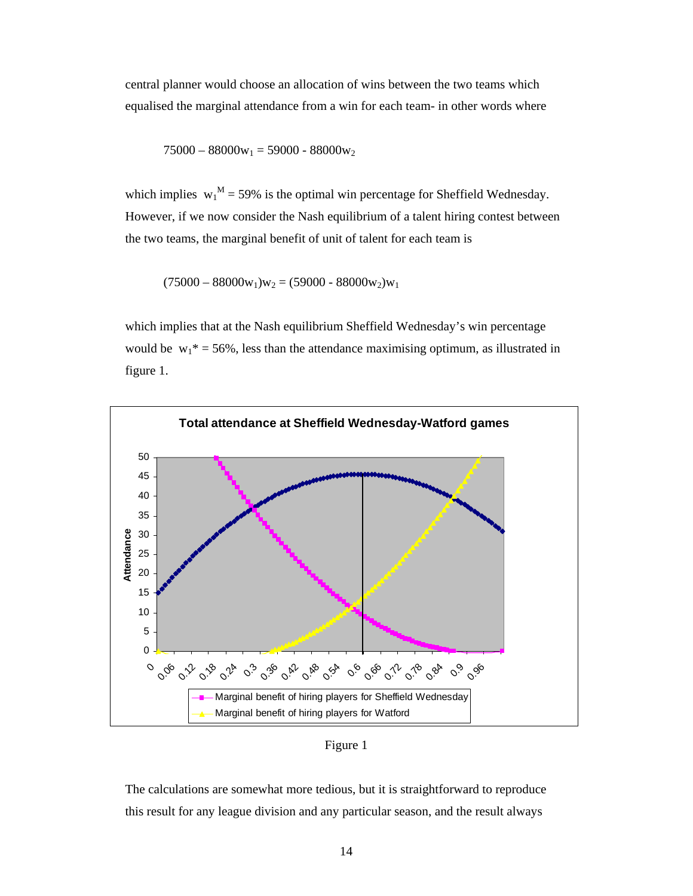central planner would choose an allocation of wins between the two teams which equalised the marginal attendance from a win for each team- in other words where

$$
75000 - 88000w_1 = 59000 - 88000w_2
$$

which implies  $w_1^M = 59\%$  is the optimal win percentage for Sheffield Wednesday. However, if we now consider the Nash equilibrium of a talent hiring contest between the two teams, the marginal benefit of unit of talent for each team is

$$
(75000 - 88000w_1)w_2 = (59000 - 88000w_2)w_1
$$

which implies that at the Nash equilibrium Sheffield Wednesday's win percentage would be  $w_1^* = 56\%$ , less than the attendance maximising optimum, as illustrated in figure 1.



Figure 1

The calculations are somewhat more tedious, but it is straightforward to reproduce this result for any league division and any particular season, and the result always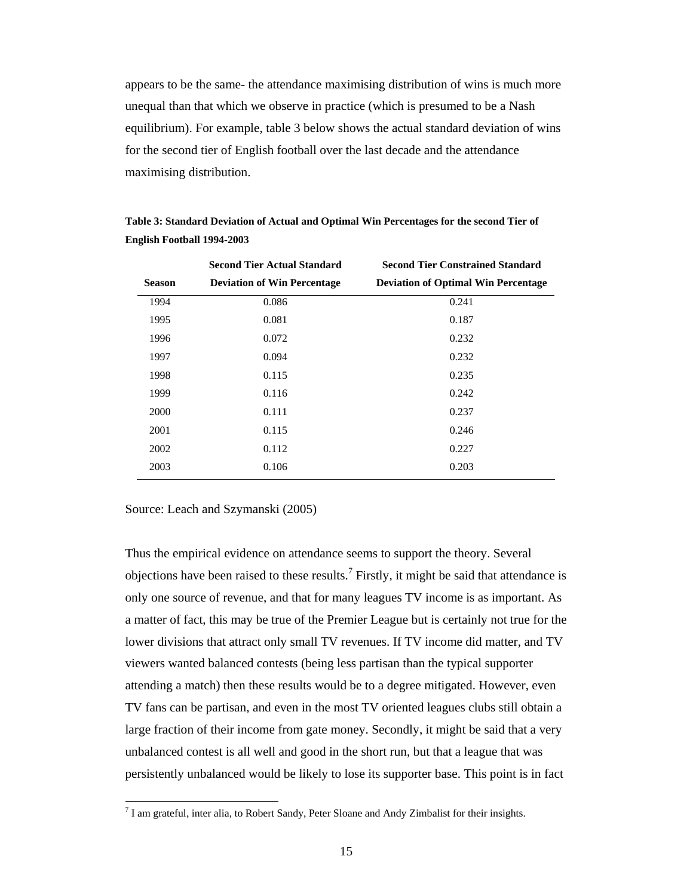appears to be the same- the attendance maximising distribution of wins is much more unequal than that which we observe in practice (which is presumed to be a Nash equilibrium). For example, table 3 below shows the actual standard deviation of wins for the second tier of English football over the last decade and the attendance maximising distribution.

|               | <b>Second Tier Actual Standard</b> | <b>Second Tier Constrained Standard</b>    |
|---------------|------------------------------------|--------------------------------------------|
| <b>Season</b> | <b>Deviation of Win Percentage</b> | <b>Deviation of Optimal Win Percentage</b> |
| 1994          | 0.086                              | 0.241                                      |
| 1995          | 0.081                              | 0.187                                      |
| 1996          | 0.072                              | 0.232                                      |
| 1997          | 0.094                              | 0.232                                      |
| 1998          | 0.115                              | 0.235                                      |
| 1999          | 0.116                              | 0.242                                      |
| 2000          | 0.111                              | 0.237                                      |
| 2001          | 0.115                              | 0.246                                      |
| 2002          | 0.112                              | 0.227                                      |
| 2003          | 0.106                              | 0.203                                      |
|               |                                    |                                            |

**Table 3: Standard Deviation of Actual and Optimal Win Percentages for the second Tier of English Football 1994-2003** 

Source: Leach and Szymanski (2005)

Thus the empirical evidence on attendance seems to support the theory. Several objections have been raised to these results.<sup>7</sup> Firstly, it might be said that attendance is only one source of revenue, and that for many leagues TV income is as important. As a matter of fact, this may be true of the Premier League but is certainly not true for the lower divisions that attract only small TV revenues. If TV income did matter, and TV viewers wanted balanced contests (being less partisan than the typical supporter attending a match) then these results would be to a degree mitigated. However, even TV fans can be partisan, and even in the most TV oriented leagues clubs still obtain a large fraction of their income from gate money. Secondly, it might be said that a very unbalanced contest is all well and good in the short run, but that a league that was persistently unbalanced would be likely to lose its supporter base. This point is in fact

<sup>&</sup>lt;sup>7</sup> I am grateful, inter alia, to Robert Sandy, Peter Sloane and Andy Zimbalist for their insights.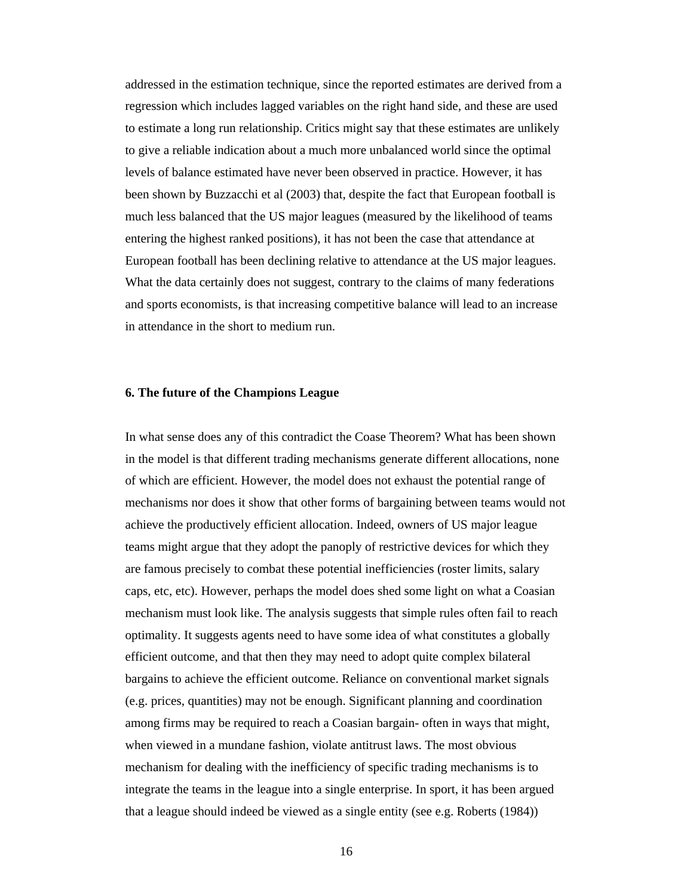addressed in the estimation technique, since the reported estimates are derived from a regression which includes lagged variables on the right hand side, and these are used to estimate a long run relationship. Critics might say that these estimates are unlikely to give a reliable indication about a much more unbalanced world since the optimal levels of balance estimated have never been observed in practice. However, it has been shown by Buzzacchi et al (2003) that, despite the fact that European football is much less balanced that the US major leagues (measured by the likelihood of teams entering the highest ranked positions), it has not been the case that attendance at European football has been declining relative to attendance at the US major leagues. What the data certainly does not suggest, contrary to the claims of many federations and sports economists, is that increasing competitive balance will lead to an increase in attendance in the short to medium run.

#### **6. The future of the Champions League**

In what sense does any of this contradict the Coase Theorem? What has been shown in the model is that different trading mechanisms generate different allocations, none of which are efficient. However, the model does not exhaust the potential range of mechanisms nor does it show that other forms of bargaining between teams would not achieve the productively efficient allocation. Indeed, owners of US major league teams might argue that they adopt the panoply of restrictive devices for which they are famous precisely to combat these potential inefficiencies (roster limits, salary caps, etc, etc). However, perhaps the model does shed some light on what a Coasian mechanism must look like. The analysis suggests that simple rules often fail to reach optimality. It suggests agents need to have some idea of what constitutes a globally efficient outcome, and that then they may need to adopt quite complex bilateral bargains to achieve the efficient outcome. Reliance on conventional market signals (e.g. prices, quantities) may not be enough. Significant planning and coordination among firms may be required to reach a Coasian bargain- often in ways that might, when viewed in a mundane fashion, violate antitrust laws. The most obvious mechanism for dealing with the inefficiency of specific trading mechanisms is to integrate the teams in the league into a single enterprise. In sport, it has been argued that a league should indeed be viewed as a single entity (see e.g. Roberts (1984))

16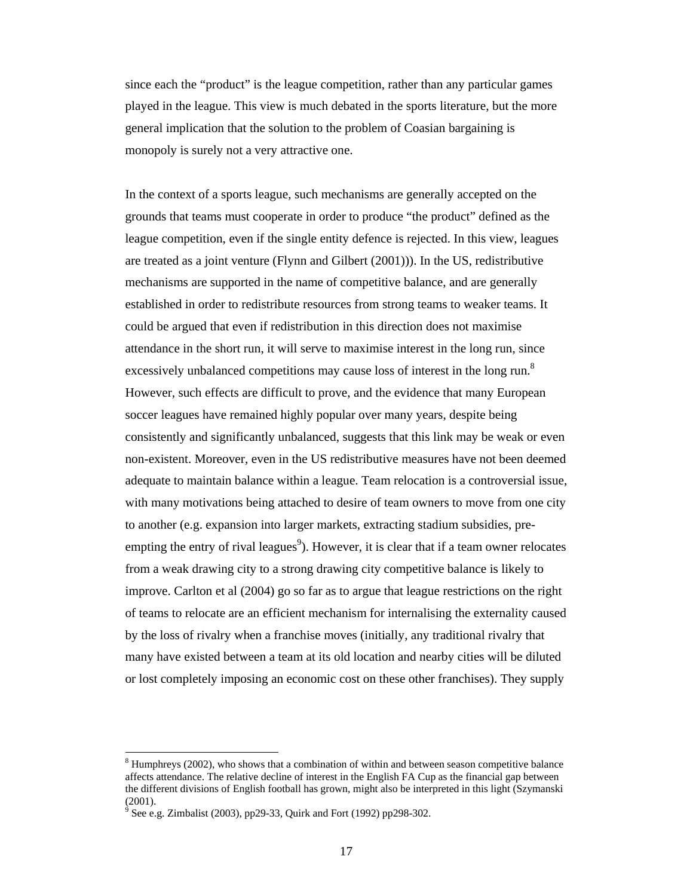since each the "product" is the league competition, rather than any particular games played in the league. This view is much debated in the sports literature, but the more general implication that the solution to the problem of Coasian bargaining is monopoly is surely not a very attractive one.

In the context of a sports league, such mechanisms are generally accepted on the grounds that teams must cooperate in order to produce "the product" defined as the league competition, even if the single entity defence is rejected. In this view, leagues are treated as a joint venture (Flynn and Gilbert (2001))). In the US, redistributive mechanisms are supported in the name of competitive balance, and are generally established in order to redistribute resources from strong teams to weaker teams. It could be argued that even if redistribution in this direction does not maximise attendance in the short run, it will serve to maximise interest in the long run, since excessively unbalanced competitions may cause loss of interest in the long run.<sup>8</sup> However, such effects are difficult to prove, and the evidence that many European soccer leagues have remained highly popular over many years, despite being consistently and significantly unbalanced, suggests that this link may be weak or even non-existent. Moreover, even in the US redistributive measures have not been deemed adequate to maintain balance within a league. Team relocation is a controversial issue, with many motivations being attached to desire of team owners to move from one city to another (e.g. expansion into larger markets, extracting stadium subsidies, preempting the entry of rival leagues<sup>9</sup>). However, it is clear that if a team owner relocates from a weak drawing city to a strong drawing city competitive balance is likely to improve. Carlton et al (2004) go so far as to argue that league restrictions on the right of teams to relocate are an efficient mechanism for internalising the externality caused by the loss of rivalry when a franchise moves (initially, any traditional rivalry that many have existed between a team at its old location and nearby cities will be diluted or lost completely imposing an economic cost on these other franchises). They supply

 $\overline{a}$ 

 $8$  Humphreys (2002), who shows that a combination of within and between season competitive balance affects attendance. The relative decline of interest in the English FA Cup as the financial gap between the different divisions of English football has grown, might also be interpreted in this light (Szymanski (2001).

<sup>&</sup>lt;sup>9</sup> See e.g. Zimbalist (2003), pp29-33, Quirk and Fort (1992) pp298-302.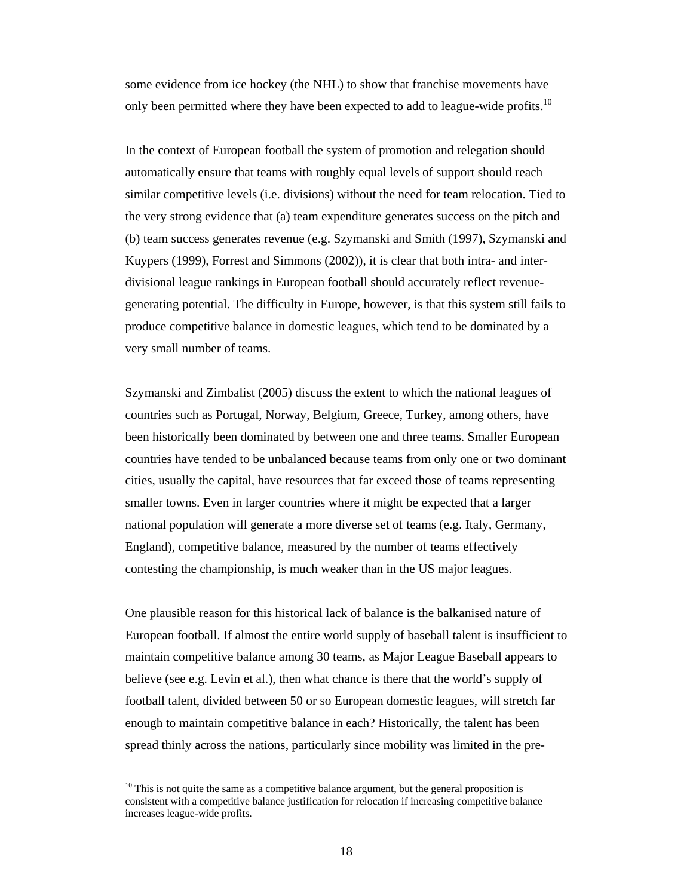some evidence from ice hockey (the NHL) to show that franchise movements have only been permitted where they have been expected to add to league-wide profits.<sup>10</sup>

In the context of European football the system of promotion and relegation should automatically ensure that teams with roughly equal levels of support should reach similar competitive levels (i.e. divisions) without the need for team relocation. Tied to the very strong evidence that (a) team expenditure generates success on the pitch and (b) team success generates revenue (e.g. Szymanski and Smith (1997), Szymanski and Kuypers (1999), Forrest and Simmons (2002)), it is clear that both intra- and interdivisional league rankings in European football should accurately reflect revenuegenerating potential. The difficulty in Europe, however, is that this system still fails to produce competitive balance in domestic leagues, which tend to be dominated by a very small number of teams.

Szymanski and Zimbalist (2005) discuss the extent to which the national leagues of countries such as Portugal, Norway, Belgium, Greece, Turkey, among others, have been historically been dominated by between one and three teams. Smaller European countries have tended to be unbalanced because teams from only one or two dominant cities, usually the capital, have resources that far exceed those of teams representing smaller towns. Even in larger countries where it might be expected that a larger national population will generate a more diverse set of teams (e.g. Italy, Germany, England), competitive balance, measured by the number of teams effectively contesting the championship, is much weaker than in the US major leagues.

One plausible reason for this historical lack of balance is the balkanised nature of European football. If almost the entire world supply of baseball talent is insufficient to maintain competitive balance among 30 teams, as Major League Baseball appears to believe (see e.g. Levin et al.), then what chance is there that the world's supply of football talent, divided between 50 or so European domestic leagues, will stretch far enough to maintain competitive balance in each? Historically, the talent has been spread thinly across the nations, particularly since mobility was limited in the pre-

 $\overline{a}$ 

 $10$  This is not quite the same as a competitive balance argument, but the general proposition is consistent with a competitive balance justification for relocation if increasing competitive balance increases league-wide profits.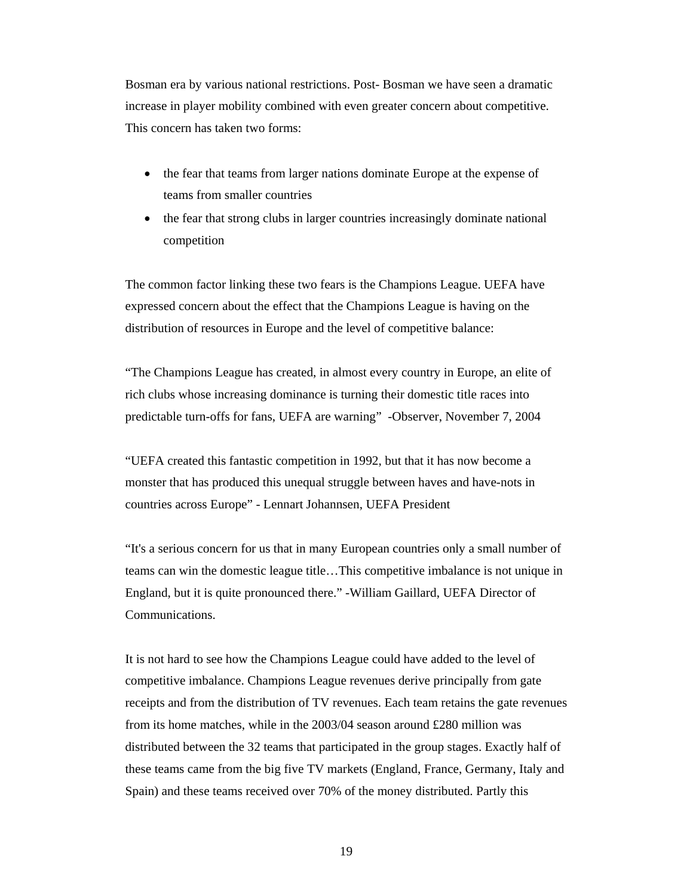Bosman era by various national restrictions. Post- Bosman we have seen a dramatic increase in player mobility combined with even greater concern about competitive. This concern has taken two forms:

- the fear that teams from larger nations dominate Europe at the expense of teams from smaller countries
- the fear that strong clubs in larger countries increasingly dominate national competition

The common factor linking these two fears is the Champions League. UEFA have expressed concern about the effect that the Champions League is having on the distribution of resources in Europe and the level of competitive balance:

"The Champions League has created, in almost every country in Europe, an elite of rich clubs whose increasing dominance is turning their domestic title races into predictable turn-offs for fans, UEFA are warning" -Observer, November 7, 2004

"UEFA created this fantastic competition in 1992, but that it has now become a monster that has produced this unequal struggle between haves and have-nots in countries across Europe" - Lennart Johannsen, UEFA President

"It's a serious concern for us that in many European countries only a small number of teams can win the domestic league title…This competitive imbalance is not unique in England, but it is quite pronounced there." -William Gaillard, UEFA Director of Communications.

It is not hard to see how the Champions League could have added to the level of competitive imbalance. Champions League revenues derive principally from gate receipts and from the distribution of TV revenues. Each team retains the gate revenues from its home matches, while in the 2003/04 season around £280 million was distributed between the 32 teams that participated in the group stages. Exactly half of these teams came from the big five TV markets (England, France, Germany, Italy and Spain) and these teams received over 70% of the money distributed. Partly this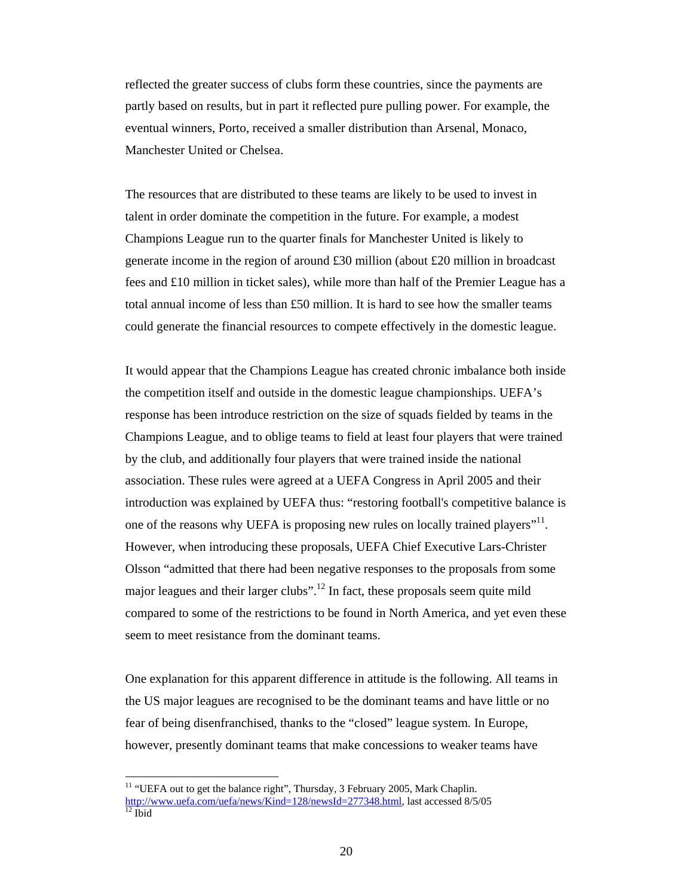reflected the greater success of clubs form these countries, since the payments are partly based on results, but in part it reflected pure pulling power. For example, the eventual winners, Porto, received a smaller distribution than Arsenal, Monaco, Manchester United or Chelsea.

The resources that are distributed to these teams are likely to be used to invest in talent in order dominate the competition in the future. For example, a modest Champions League run to the quarter finals for Manchester United is likely to generate income in the region of around £30 million (about £20 million in broadcast fees and £10 million in ticket sales), while more than half of the Premier League has a total annual income of less than £50 million. It is hard to see how the smaller teams could generate the financial resources to compete effectively in the domestic league.

It would appear that the Champions League has created chronic imbalance both inside the competition itself and outside in the domestic league championships. UEFA's response has been introduce restriction on the size of squads fielded by teams in the Champions League, and to oblige teams to field at least four players that were trained by the club, and additionally four players that were trained inside the national association. These rules were agreed at a UEFA Congress in April 2005 and their introduction was explained by UEFA thus: "restoring football's competitive balance is one of the reasons why UEFA is proposing new rules on locally trained players"<sup>11</sup>. However, when introducing these proposals, UEFA Chief Executive Lars-Christer Olsson "admitted that there had been negative responses to the proposals from some major leagues and their larger clubs".<sup>12</sup> In fact, these proposals seem quite mild compared to some of the restrictions to be found in North America, and yet even these seem to meet resistance from the dominant teams.

One explanation for this apparent difference in attitude is the following. All teams in the US major leagues are recognised to be the dominant teams and have little or no fear of being disenfranchised, thanks to the "closed" league system. In Europe, however, presently dominant teams that make concessions to weaker teams have

 $\overline{a}$ 

<sup>&</sup>lt;sup>11</sup> "UEFA out to get the balance right", Thursday, 3 February 2005, Mark Chaplin. http://www.uefa.com/uefa/news/Kind=128/newsId=277348.html, last accessed 8/5/05<br><sup>12</sup> Ibid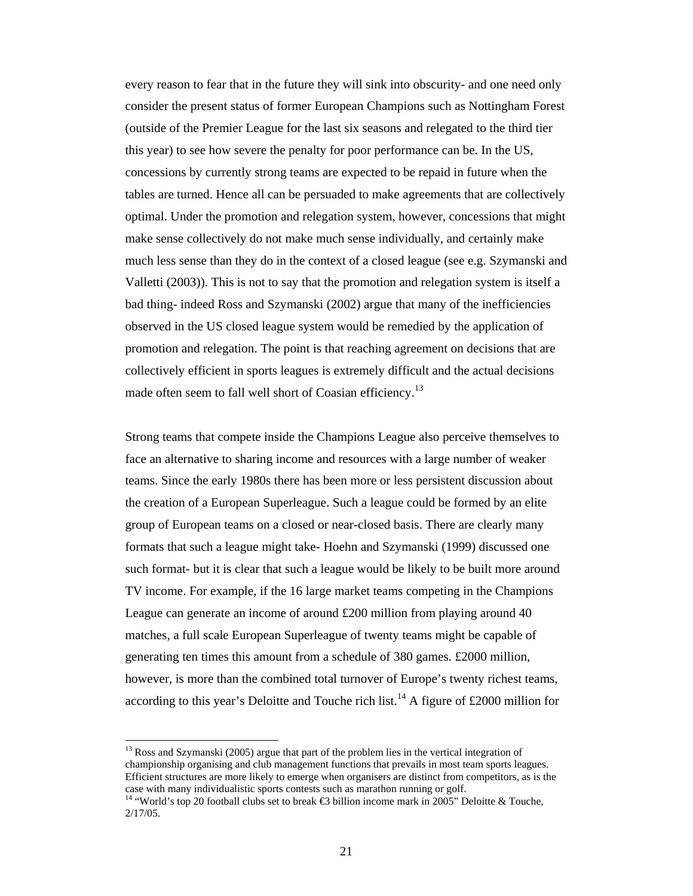every reason to fear that in the future they will sink into obscurity- and one need only consider the present status of former European Champions such as Nottingham Forest (outside of the Premier League for the last six seasons and relegated to the third tier this year) to see how severe the penalty for poor performance can be. In the US, concessions by currently strong teams are expected to be repaid in future when the tables are turned. Hence all can be persuaded to make agreements that are collectively optimal. Under the promotion and relegation system, however, concessions that might make sense collectively do not make much sense individually, and certainly make much less sense than they do in the context of a closed league (see e.g. Szymanski and Valletti (2003)). This is not to say that the promotion and relegation system is itself a bad thing- indeed Ross and Szymanski (2002) argue that many of the inefficiencies observed in the US closed league system would be remedied by the application of promotion and relegation. The point is that reaching agreement on decisions that are collectively efficient in sports leagues is extremely difficult and the actual decisions made often seem to fall well short of Coasian efficiency.<sup>13</sup>

Strong teams that compete inside the Champions League also perceive themselves to face an alternative to sharing income and resources with a large number of weaker teams. Since the early 1980s there has been more or less persistent discussion about the creation of a European Superleague. Such a league could be formed by an elite group of European teams on a closed or near-closed basis. There are clearly many formats that such a league might take- Hoehn and Szymanski (1999) discussed one such format- but it is clear that such a league would be likely to be built more around TV income. For example, if the 16 large market teams competing in the Champions League can generate an income of around £200 million from playing around 40 matches, a full scale European Superleague of twenty teams might be capable of generating ten times this amount from a schedule of 380 games. £2000 million, however, is more than the combined total turnover of Europe's twenty richest teams, according to this year's Deloitte and Touche rich list.<sup>14</sup> A figure of £2000 million for

<sup>13</sup> Ross and Szymanski (2005) argue that part of the problem lies in the vertical integration of championship organising and club management functions that prevails in most team sports leagues. Efficient structures are more likely to emerge when organisers are distinct from competitors, as is the case with many individualistic sports contests such as marathon running or golf.

 $\overline{a}$ 

<sup>&</sup>lt;sup>14</sup> "World's top 20 football clubs set to break  $\bigoplus$  billion income mark in 2005" Deloitte & Touche, 2/17/05.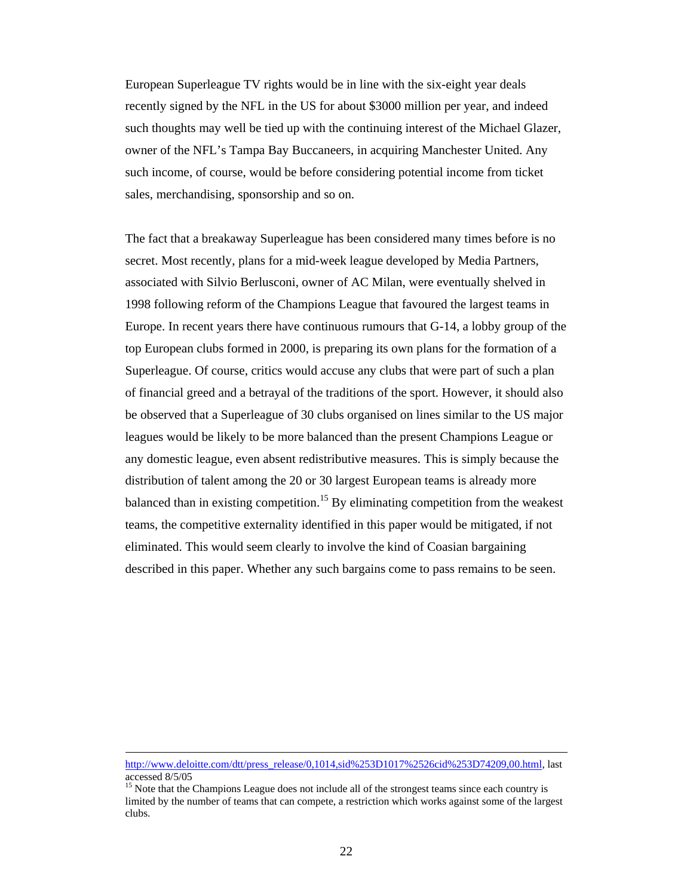European Superleague TV rights would be in line with the six-eight year deals recently signed by the NFL in the US for about \$3000 million per year, and indeed such thoughts may well be tied up with the continuing interest of the Michael Glazer, owner of the NFL's Tampa Bay Buccaneers, in acquiring Manchester United. Any such income, of course, would be before considering potential income from ticket sales, merchandising, sponsorship and so on.

The fact that a breakaway Superleague has been considered many times before is no secret. Most recently, plans for a mid-week league developed by Media Partners, associated with Silvio Berlusconi, owner of AC Milan, were eventually shelved in 1998 following reform of the Champions League that favoured the largest teams in Europe. In recent years there have continuous rumours that G-14, a lobby group of the top European clubs formed in 2000, is preparing its own plans for the formation of a Superleague. Of course, critics would accuse any clubs that were part of such a plan of financial greed and a betrayal of the traditions of the sport. However, it should also be observed that a Superleague of 30 clubs organised on lines similar to the US major leagues would be likely to be more balanced than the present Champions League or any domestic league, even absent redistributive measures. This is simply because the distribution of talent among the 20 or 30 largest European teams is already more balanced than in existing competition.<sup>15</sup> By eliminating competition from the weakest teams, the competitive externality identified in this paper would be mitigated, if not eliminated. This would seem clearly to involve the kind of Coasian bargaining described in this paper. Whether any such bargains come to pass remains to be seen.

http://www.deloitte.com/dtt/press\_release/0,1014,sid%253D1017%2526cid%253D74209,00.html, last accessed 8/5/05

<sup>&</sup>lt;sup>15</sup> Note that the Champions League does not include all of the strongest teams since each country is limited by the number of teams that can compete, a restriction which works against some of the largest clubs.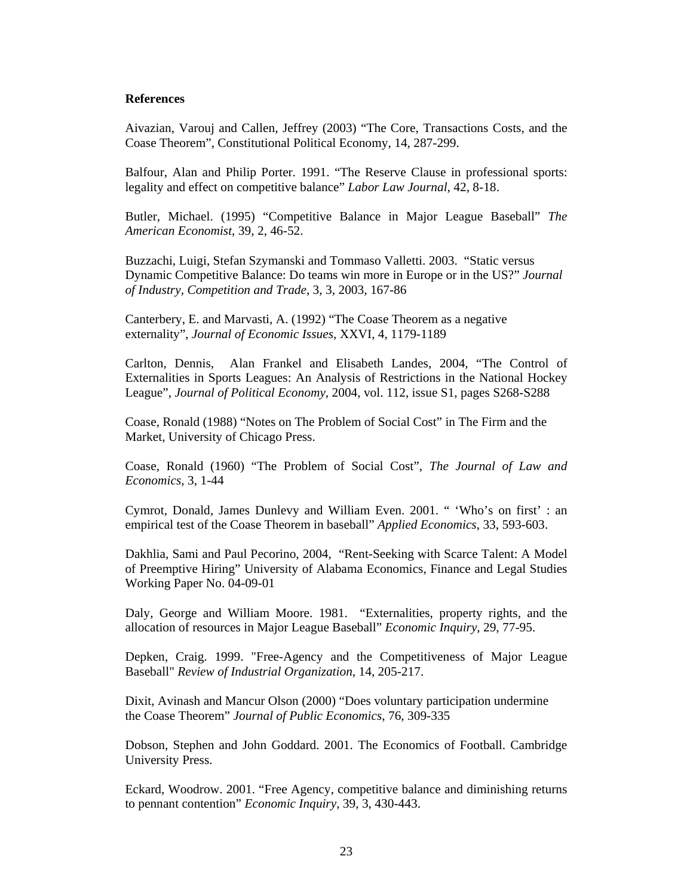# **References**

Aivazian, Varouj and Callen, Jeffrey (2003) "The Core, Transactions Costs, and the Coase Theorem", Constitutional Political Economy, 14, 287-299.

Balfour, Alan and Philip Porter. 1991. "The Reserve Clause in professional sports: legality and effect on competitive balance" *Labor Law Journal*, 42, 8-18.

Butler, Michael. (1995) "Competitive Balance in Major League Baseball" *The American Economist*, 39, 2, 46-52.

Buzzachi, Luigi, Stefan Szymanski and Tommaso Valletti. 2003. "Static versus Dynamic Competitive Balance: Do teams win more in Europe or in the US?" *Journal of Industry, Competition and Trade*, 3, 3, 2003, 167-86

Canterbery, E. and Marvasti, A. (1992) "The Coase Theorem as a negative externality", *Journal of Economic Issues*, XXVI, 4, 1179-1189

Carlton, Dennis, Alan Frankel and Elisabeth Landes, 2004, "The Control of Externalities in Sports Leagues: An Analysis of Restrictions in the National Hockey League", *Journal of Political Economy*, 2004, vol. 112, issue S1, pages S268-S288

Coase, Ronald (1988) "Notes on The Problem of Social Cost" in The Firm and the Market, University of Chicago Press.

Coase, Ronald (1960) "The Problem of Social Cost", *The Journal of Law and Economics*, 3, 1-44

Cymrot, Donald, James Dunlevy and William Even. 2001. " 'Who's on first' : an empirical test of the Coase Theorem in baseball" *Applied Economics*, 33, 593-603.

Dakhlia, Sami and Paul Pecorino, 2004, "Rent-Seeking with Scarce Talent: A Model of Preemptive Hiring" University of Alabama Economics, Finance and Legal Studies Working Paper No. 04-09-01

Daly, George and William Moore. 1981. "Externalities, property rights, and the allocation of resources in Major League Baseball" *Economic Inquiry*, 29, 77-95.

Depken, Craig. 1999. "Free-Agency and the Competitiveness of Major League Baseball" *Review of Industrial Organization*, 14, 205-217.

Dixit, Avinash and Mancur Olson (2000) "Does voluntary participation undermine the Coase Theorem" *Journal of Public Economics*, 76, 309-335

Dobson, Stephen and John Goddard. 2001. The Economics of Football. Cambridge University Press.

Eckard, Woodrow. 2001. "Free Agency, competitive balance and diminishing returns to pennant contention" *Economic Inquiry*, 39, 3, 430-443.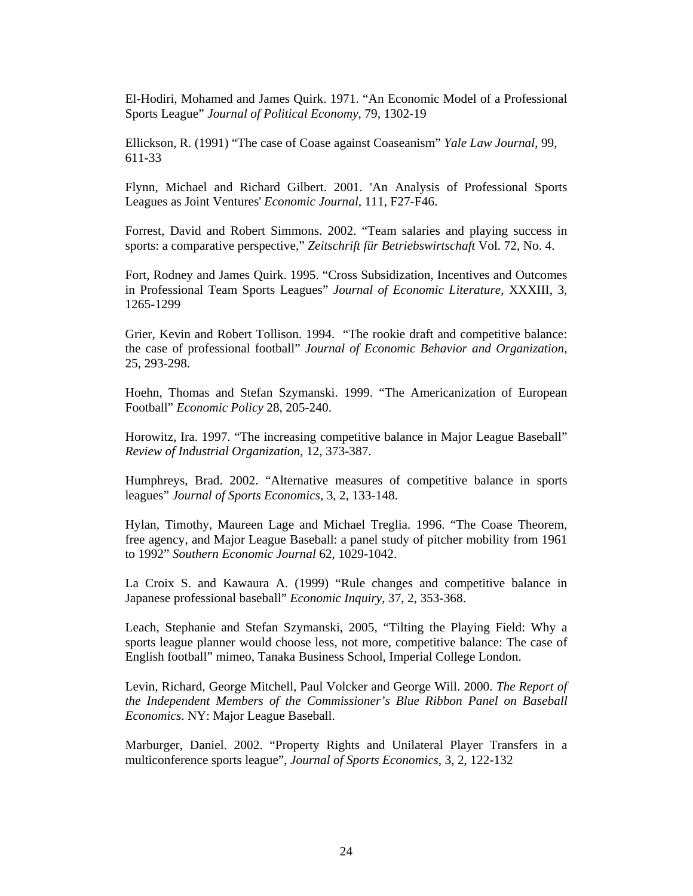El-Hodiri, Mohamed and James Quirk. 1971. "An Economic Model of a Professional Sports League" *Journal of Political Economy*, 79, 1302-19

Ellickson, R. (1991) "The case of Coase against Coaseanism" *Yale Law Journal*, 99, 611-33

Flynn, Michael and Richard Gilbert. 2001. 'An Analysis of Professional Sports Leagues as Joint Ventures' *Economic Journal,* 111, F27-F46.

Forrest, David and Robert Simmons. 2002. "Team salaries and playing success in sports: a comparative perspective," *Zeitschrift für Betriebswirtschaft* Vol. 72, No. 4.

Fort, Rodney and James Quirk. 1995. "Cross Subsidization, Incentives and Outcomes in Professional Team Sports Leagues" *Journal of Economic Literature*, XXXIII, 3, 1265-1299

Grier, Kevin and Robert Tollison. 1994. "The rookie draft and competitive balance: the case of professional football" *Journal of Economic Behavior and Organization*, 25, 293-298.

Hoehn, Thomas and Stefan Szymanski. 1999. "The Americanization of European Football" *Economic Policy* 28, 205-240.

Horowitz, Ira. 1997. "The increasing competitive balance in Major League Baseball" *Review of Industrial Organization*, 12, 373-387.

Humphreys, Brad. 2002. "Alternative measures of competitive balance in sports leagues" *Journal of Sports Economics*, 3, 2, 133-148.

Hylan, Timothy, Maureen Lage and Michael Treglia. 1996. "The Coase Theorem, free agency, and Major League Baseball: a panel study of pitcher mobility from 1961 to 1992" *Southern Economic Journal* 62, 1029-1042.

La Croix S. and Kawaura A. (1999) "Rule changes and competitive balance in Japanese professional baseball" *Economic Inquiry*, 37, 2, 353-368.

Leach, Stephanie and Stefan Szymanski, 2005, "Tilting the Playing Field: Why a sports league planner would choose less, not more, competitive balance: The case of English football" mimeo, Tanaka Business School, Imperial College London.

Levin, Richard, George Mitchell, Paul Volcker and George Will. 2000. *The Report of the Independent Members of the Commissioner's Blue Ribbon Panel on Baseball Economics*. NY: Major League Baseball.

Marburger, Daniel. 2002. "Property Rights and Unilateral Player Transfers in a multiconference sports league", *Journal of Sports Economics*, 3, 2, 122-132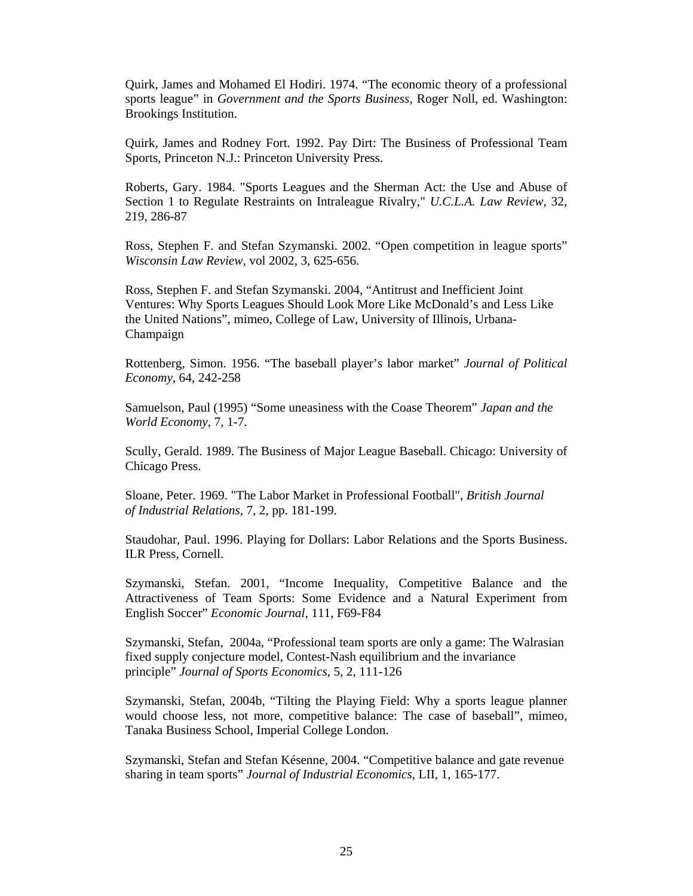Quirk, James and Mohamed El Hodiri. 1974. "The economic theory of a professional sports league" in *Government and the Sports Business,* Roger Noll, ed. Washington: Brookings Institution.

Quirk, James and Rodney Fort. 1992. Pay Dirt: The Business of Professional Team Sports, Princeton N.J.: Princeton University Press.

Roberts, Gary. 1984. "Sports Leagues and the Sherman Act: the Use and Abuse of Section 1 to Regulate Restraints on Intraleague Rivalry," *U.C.L.A. Law Review*, 32, 219, 286-87

Ross, Stephen F. and Stefan Szymanski. 2002. "Open competition in league sports" *Wisconsin Law Review*, vol 2002, 3, 625-656.

Ross, Stephen F. and Stefan Szymanski. 2004, "Antitrust and Inefficient Joint Ventures: Why Sports Leagues Should Look More Like McDonald's and Less Like the United Nations", mimeo, College of Law, University of Illinois, Urbana-Champaign

Rottenberg, Simon. 1956. "The baseball player's labor market" *Journal of Political Economy*, 64, 242-258

Samuelson, Paul (1995) "Some uneasiness with the Coase Theorem" *Japan and the World Economy*, 7, 1-7.

Scully, Gerald. 1989. The Business of Major League Baseball. Chicago: University of Chicago Press.

Sloane, Peter. 1969. "The Labor Market in Professional Football", *British Journal of Industrial Relations,* 7, 2, pp. 181-199.

Staudohar, Paul. 1996. Playing for Dollars: Labor Relations and the Sports Business. ILR Press, Cornell.

Szymanski, Stefan. 2001, "Income Inequality, Competitive Balance and the Attractiveness of Team Sports: Some Evidence and a Natural Experiment from English Soccer" *Economic Journal,* 111, F69-F84

Szymanski, Stefan, 2004a, "Professional team sports are only a game: The Walrasian fixed supply conjecture model, Contest-Nash equilibrium and the invariance principle" *Journal of Sports Economics*, 5, 2, 111-126

Szymanski, Stefan, 2004b, "Tilting the Playing Field: Why a sports league planner would choose less, not more, competitive balance: The case of baseball", mimeo, Tanaka Business School, Imperial College London.

Szymanski, Stefan and Stefan Késenne, 2004. "Competitive balance and gate revenue sharing in team sports" *Journal of Industrial Economics*, LII, 1, 165-177.